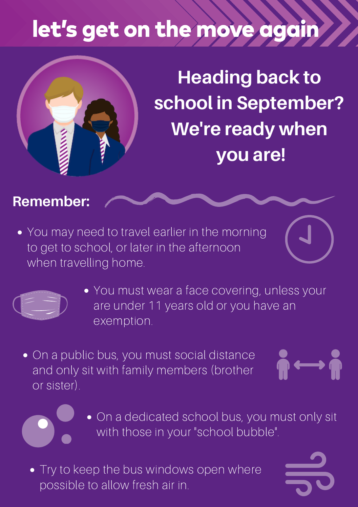# let's get on the move again



**Heading back to school in September? We're ready when you are!**

#### **Remember:**

• You may need to travel earlier in the morning to get to school, or later in the afternoon when travelling home.



- You must wear a face covering, unless your are under 11 years old or you have an exemption.
- On a public bus, you must social distance and only sit with family members (brother or sister).



- On a dedicated school bus, you must only sit with those in your "school bubble".
- Try to keep the bus windows open where possible to allow fresh air in.



 $\mathbf{w} \longleftrightarrow \mathbf{w}$